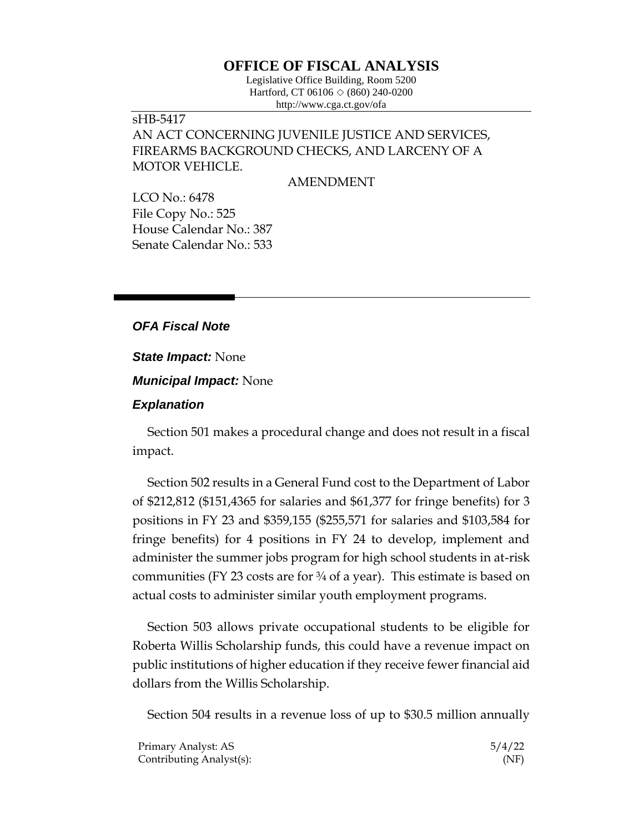## **OFFICE OF FISCAL ANALYSIS**

Legislative Office Building, Room 5200 Hartford, CT 06106  $\Diamond$  (860) 240-0200 http://www.cga.ct.gov/ofa

## sHB-5417 AN ACT CONCERNING JUVENILE JUSTICE AND SERVICES, FIREARMS BACKGROUND CHECKS, AND LARCENY OF A MOTOR VEHICLE.

AMENDMENT

LCO No.: 6478 File Copy No.: 525 House Calendar No.: 387 Senate Calendar No.: 533

## *OFA Fiscal Note*

*State Impact:* None

*Municipal Impact:* None

## *Explanation*

Section 501 makes a procedural change and does not result in a fiscal impact.

Section 502 results in a General Fund cost to the Department of Labor of \$212,812 (\$151,4365 for salaries and \$61,377 for fringe benefits) for 3 positions in FY 23 and \$359,155 (\$255,571 for salaries and \$103,584 for fringe benefits) for 4 positions in FY 24 to develop, implement and administer the summer jobs program for high school students in at-risk communities (FY 23 costs are for  $\frac{3}{4}$  of a year). This estimate is based on actual costs to administer similar youth employment programs.

Section 503 allows private occupational students to be eligible for Roberta Willis Scholarship funds, this could have a revenue impact on public institutions of higher education if they receive fewer financial aid dollars from the Willis Scholarship.

Section 504 results in a revenue loss of up to \$30.5 million annually

| Primary Analyst: AS      | 5/4/22 |
|--------------------------|--------|
| Contributing Analyst(s): | (NF)   |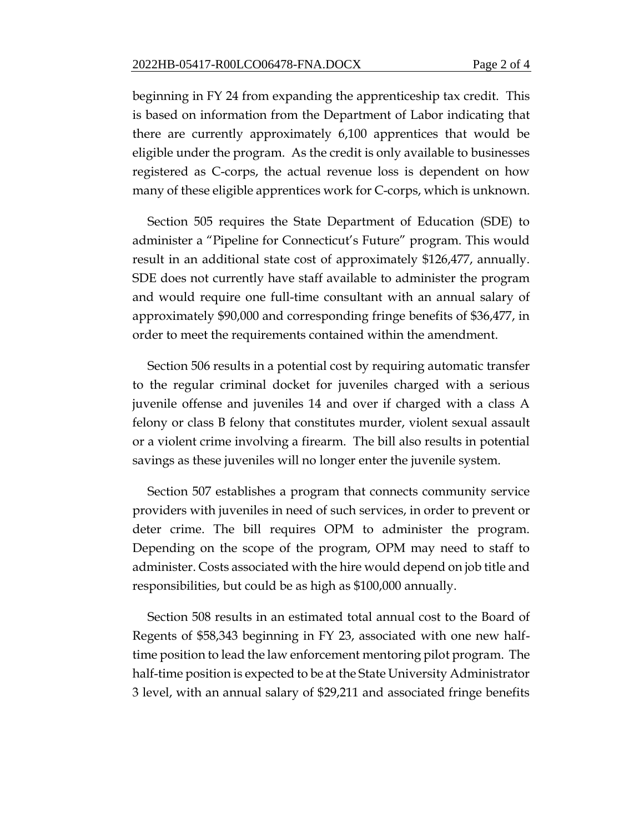beginning in FY 24 from expanding the apprenticeship tax credit. This is based on information from the Department of Labor indicating that there are currently approximately 6,100 apprentices that would be eligible under the program. As the credit is only available to businesses registered as C-corps, the actual revenue loss is dependent on how many of these eligible apprentices work for C-corps, which is unknown.

Section 505 requires the State Department of Education (SDE) to administer a "Pipeline for Connecticut's Future" program. This would result in an additional state cost of approximately \$126,477, annually. SDE does not currently have staff available to administer the program and would require one full-time consultant with an annual salary of approximately \$90,000 and corresponding fringe benefits of \$36,477, in order to meet the requirements contained within the amendment.

Section 506 results in a potential cost by requiring automatic transfer to the regular criminal docket for juveniles charged with a serious juvenile offense and juveniles 14 and over if charged with a class A felony or class B felony that constitutes murder, violent sexual assault or a violent crime involving a firearm. The bill also results in potential savings as these juveniles will no longer enter the juvenile system.

Section 507 establishes a program that connects community service providers with juveniles in need of such services, in order to prevent or deter crime. The bill requires OPM to administer the program. Depending on the scope of the program, OPM may need to staff to administer. Costs associated with the hire would depend on job title and responsibilities, but could be as high as \$100,000 annually.

Section 508 results in an estimated total annual cost to the Board of Regents of \$58,343 beginning in FY 23, associated with one new halftime position to lead the law enforcement mentoring pilot program. The half-time position is expected to be at the State University Administrator 3 level, with an annual salary of \$29,211 and associated fringe benefits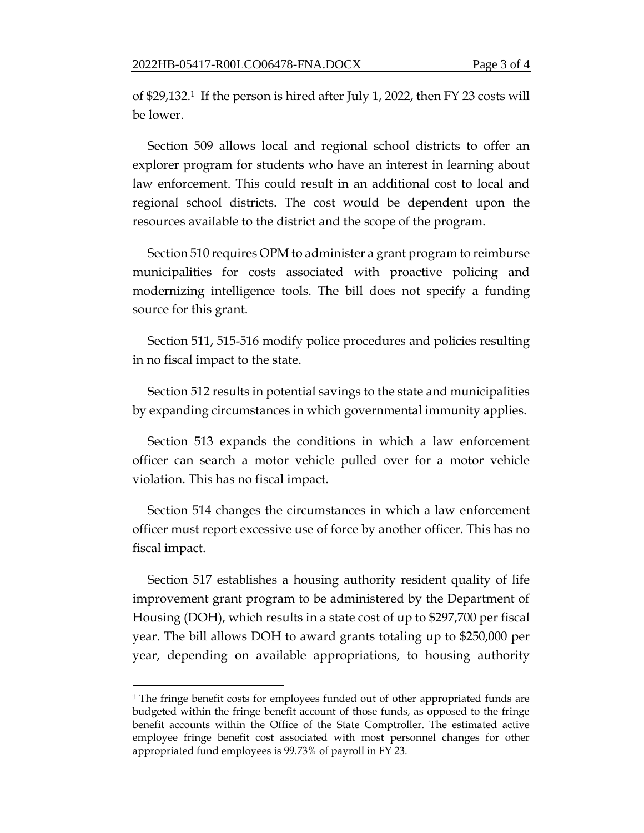of \$29,132.1 If the person is hired after July 1, 2022, then FY 23 costs will be lower.

Section 509 allows local and regional school districts to offer an explorer program for students who have an interest in learning about law enforcement. This could result in an additional cost to local and regional school districts. The cost would be dependent upon the resources available to the district and the scope of the program.

Section 510 requires OPM to administer a grant program to reimburse municipalities for costs associated with proactive policing and modernizing intelligence tools. The bill does not specify a funding source for this grant.

Section 511, 515-516 modify police procedures and policies resulting in no fiscal impact to the state.

Section 512 results in potential savings to the state and municipalities by expanding circumstances in which governmental immunity applies.

Section 513 expands the conditions in which a law enforcement officer can search a motor vehicle pulled over for a motor vehicle violation. This has no fiscal impact.

Section 514 changes the circumstances in which a law enforcement officer must report excessive use of force by another officer. This has no fiscal impact.

Section 517 establishes a housing authority resident quality of life improvement grant program to be administered by the Department of Housing (DOH), which results in a state cost of up to \$297,700 per fiscal year. The bill allows DOH to award grants totaling up to \$250,000 per year, depending on available appropriations, to housing authority

<sup>1</sup> The fringe benefit costs for employees funded out of other appropriated funds are budgeted within the fringe benefit account of those funds, as opposed to the fringe benefit accounts within the Office of the State Comptroller. The estimated active employee fringe benefit cost associated with most personnel changes for other appropriated fund employees is 99.73% of payroll in FY 23.